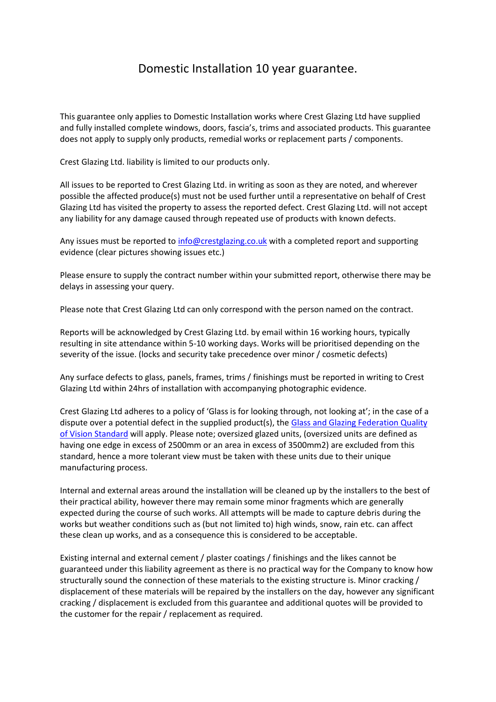## Domestic Installation 10 year guarantee.

This guarantee only applies to Domestic Installation works where Crest Glazing Ltd have supplied and fully installed complete windows, doors, fascia's, trims and associated products. This guarantee does not apply to supply only products, remedial works or replacement parts / components.

Crest Glazing Ltd. liability is limited to our products only.

All issues to be reported to Crest Glazing Ltd. in writing as soon as they are noted, and wherever possible the affected produce(s) must not be used further until a representative on behalf of Crest Glazing Ltd has visited the property to assess the reported defect. Crest Glazing Ltd. will not accept any liability for any damage caused through repeated use of products with known defects.

Any issues must be reported t[o info@crestglazing.co.uk](mailto:info@crestglazing.co.uk) with a completed report and supporting evidence (clear pictures showing issues etc.)

Please ensure to supply the contract number within your submitted report, otherwise there may be delays in assessing your query.

Please note that Crest Glazing Ltd can only correspond with the person named on the contract.

Reports will be acknowledged by Crest Glazing Ltd. by email within 16 working hours, typically resulting in site attendance within 5-10 working days. Works will be prioritised depending on the severity of the issue. (locks and security take precedence over minor / cosmetic defects)

Any surface defects to glass, panels, frames, trims / finishings must be reported in writing to Crest Glazing Ltd within 24hrs of installation with accompanying photographic evidence.

Crest Glazing Ltd adheres to a policy of 'Glass is for looking through, not looking at'; in the case of a dispute over a potential defect in the supplied product(s), the Glass and Glazing Federation Quality [of Vision Standard](https://www.myglazing.com/wp-content/uploads/2015/08/Quality-of-Vision.pdf) will apply. Please note; oversized glazed units, (oversized units are defined as having one edge in excess of 2500mm or an area in excess of 3500mm2) are excluded from this standard, hence a more tolerant view must be taken with these units due to their unique manufacturing process.

Internal and external areas around the installation will be cleaned up by the installers to the best of their practical ability, however there may remain some minor fragments which are generally expected during the course of such works. All attempts will be made to capture debris during the works but weather conditions such as (but not limited to) high winds, snow, rain etc. can affect these clean up works, and as a consequence this is considered to be acceptable.

Existing internal and external cement / plaster coatings / finishings and the likes cannot be guaranteed under this liability agreement as there is no practical way for the Company to know how structurally sound the connection of these materials to the existing structure is. Minor cracking / displacement of these materials will be repaired by the installers on the day, however any significant cracking / displacement is excluded from this guarantee and additional quotes will be provided to the customer for the repair / replacement as required.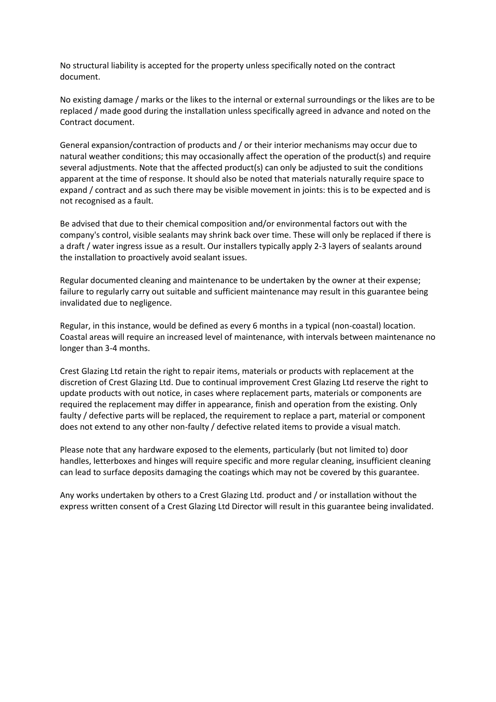No structural liability is accepted for the property unless specifically noted on the contract document.

No existing damage / marks or the likes to the internal or external surroundings or the likes are to be replaced / made good during the installation unless specifically agreed in advance and noted on the Contract document.

General expansion/contraction of products and / or their interior mechanisms may occur due to natural weather conditions; this may occasionally affect the operation of the product(s) and require several adjustments. Note that the affected product(s) can only be adjusted to suit the conditions apparent at the time of response. It should also be noted that materials naturally require space to expand / contract and as such there may be visible movement in joints: this is to be expected and is not recognised as a fault.

Be advised that due to their chemical composition and/or environmental factors out with the company's control, visible sealants may shrink back over time. These will only be replaced if there is a draft / water ingress issue as a result. Our installers typically apply 2-3 layers of sealants around the installation to proactively avoid sealant issues.

Regular documented cleaning and maintenance to be undertaken by the owner at their expense; failure to regularly carry out suitable and sufficient maintenance may result in this guarantee being invalidated due to negligence.

Regular, in this instance, would be defined as every 6 months in a typical (non-coastal) location. Coastal areas will require an increased level of maintenance, with intervals between maintenance no longer than 3-4 months.

Crest Glazing Ltd retain the right to repair items, materials or products with replacement at the discretion of Crest Glazing Ltd. Due to continual improvement Crest Glazing Ltd reserve the right to update products with out notice, in cases where replacement parts, materials or components are required the replacement may differ in appearance, finish and operation from the existing. Only faulty / defective parts will be replaced, the requirement to replace a part, material or component does not extend to any other non-faulty / defective related items to provide a visual match.

Please note that any hardware exposed to the elements, particularly (but not limited to) door handles, letterboxes and hinges will require specific and more regular cleaning, insufficient cleaning can lead to surface deposits damaging the coatings which may not be covered by this guarantee.

Any works undertaken by others to a Crest Glazing Ltd. product and / or installation without the express written consent of a Crest Glazing Ltd Director will result in this guarantee being invalidated.